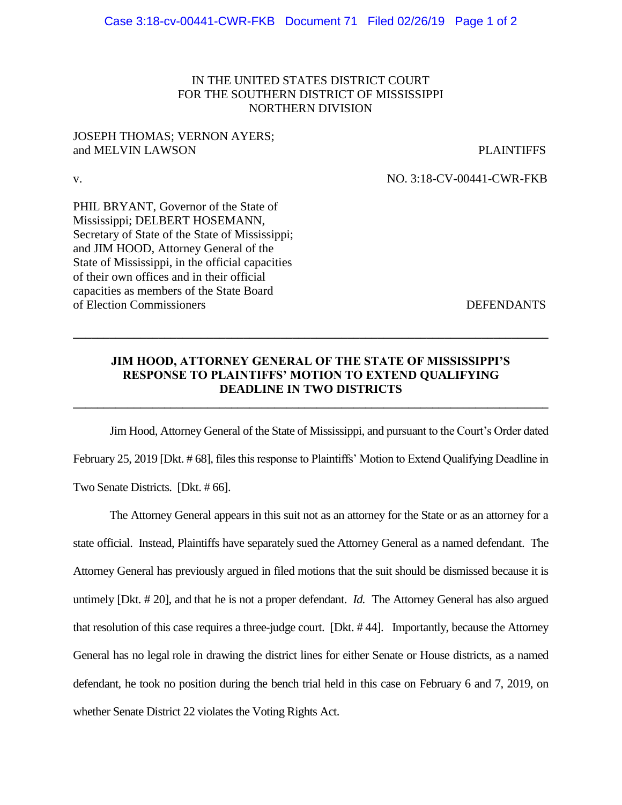### IN THE UNITED STATES DISTRICT COURT FOR THE SOUTHERN DISTRICT OF MISSISSIPPI NORTHERN DIVISION

#### JOSEPH THOMAS; VERNON AYERS; and MELVIN LAWSON PLAINTIFFS

v. NO. 3:18-CV-00441-CWR-FKB

PHIL BRYANT, Governor of the State of Mississippi; DELBERT HOSEMANN, Secretary of State of the State of Mississippi; and JIM HOOD, Attorney General of the State of Mississippi, in the official capacities of their own offices and in their official capacities as members of the State Board of Election Commissioners DEFENDANTS

# **JIM HOOD, ATTORNEY GENERAL OF THE STATE OF MISSISSIPPI'S RESPONSE TO PLAINTIFFS' MOTION TO EXTEND QUALIFYING DEADLINE IN TWO DISTRICTS**

**\_\_\_\_\_\_\_\_\_\_\_\_\_\_\_\_\_\_\_\_\_\_\_\_\_\_\_\_\_\_\_\_\_\_\_\_\_\_\_\_\_\_\_\_\_\_\_\_\_\_\_\_\_\_\_\_\_\_\_\_\_\_\_\_\_\_\_\_\_\_\_\_\_\_\_\_\_\_**

**\_\_\_\_\_\_\_\_\_\_\_\_\_\_\_\_\_\_\_\_\_\_\_\_\_\_\_\_\_\_\_\_\_\_\_\_\_\_\_\_\_\_\_\_\_\_\_\_\_\_\_\_\_\_\_\_\_\_\_\_\_\_\_\_\_\_\_\_\_\_\_\_\_\_\_\_\_\_**

Jim Hood, Attorney General of the State of Mississippi, and pursuant to the Court's Order dated February 25, 2019 [Dkt. # 68], files this response to Plaintiffs' Motion to Extend Qualifying Deadline in Two Senate Districts. [Dkt. # 66].

The Attorney General appears in this suit not as an attorney for the State or as an attorney for a state official. Instead, Plaintiffs have separately sued the Attorney General as a named defendant. The Attorney General has previously argued in filed motions that the suit should be dismissed because it is untimely [Dkt. # 20], and that he is not a proper defendant. *Id.* The Attorney General has also argued that resolution of this case requires a three-judge court. [Dkt. # 44]. Importantly, because the Attorney General has no legal role in drawing the district lines for either Senate or House districts, as a named defendant, he took no position during the bench trial held in this case on February 6 and 7, 2019, on whether Senate District 22 violates the Voting Rights Act.